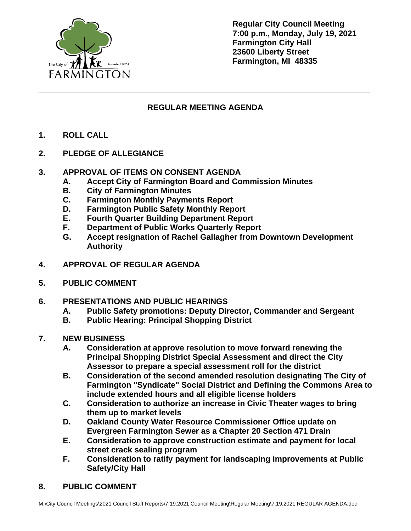

**Regular City Council Meeting 7:00 p.m., Monday, July 19, 2021 Farmington City Hall 23600 Liberty Street Farmington, MI 48335**

# **REGULAR MEETING AGENDA**

**\_\_\_\_\_\_\_\_\_\_\_\_\_\_\_\_\_\_\_\_\_\_\_\_\_\_\_\_\_\_\_\_\_\_\_\_\_\_\_\_\_\_\_\_\_\_\_\_\_\_\_\_\_\_\_\_\_\_\_\_\_\_\_\_\_\_\_\_\_\_\_\_\_\_**

- **1. ROLL CALL**
- **2. PLEDGE OF ALLEGIANCE**

#### **3. APPROVAL OF ITEMS ON CONSENT AGENDA**

- **A. Accept City of Farmington Board and Commission Minutes**
- **B. City of Farmington Minutes**
- **C. Farmington Monthly Payments Report**
- **D. Farmington Public Safety Monthly Report**
- **E. Fourth Quarter Building Department Report**
- **F. Department of Public Works Quarterly Report**
- **G. Accept resignation of Rachel Gallagher from Downtown Development Authority**
- **4. APPROVAL OF REGULAR AGENDA**
- **5. PUBLIC COMMENT**
- **6. PRESENTATIONS AND PUBLIC HEARINGS**
	- **A. Public Safety promotions: Deputy Director, Commander and Sergeant**
	- **B. Public Hearing: Principal Shopping District**
- **7. NEW BUSINESS**
	- **A. Consideration at approve resolution to move forward renewing the Principal Shopping District Special Assessment and direct the City Assessor to prepare a special assessment roll for the district**
	- **B. Consideration of the second amended resolution designating The City of Farmington "Syndicate" Social District and Defining the Commons Area to include extended hours and all eligible license holders**
	- **C. Consideration to authorize an increase in Civic Theater wages to bring them up to market levels**
	- **D. Oakland County Water Resource Commissioner Office update on Evergreen Farmington Sewer as a Chapter 20 Section 471 Drain**
	- **E. Consideration to approve construction estimate and payment for local street crack sealing program**
	- **F. Consideration to ratify payment for landscaping improvements at Public Safety/City Hall**
- **8. PUBLIC COMMENT**